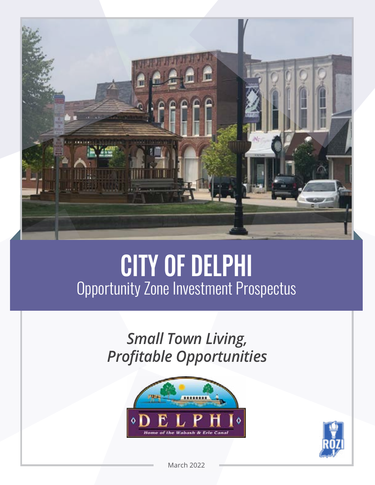

# CITY OF DELPHI Opportunity Zone Investment Prospectus

*Small Town Living, Profitable Opportunities*





March 2022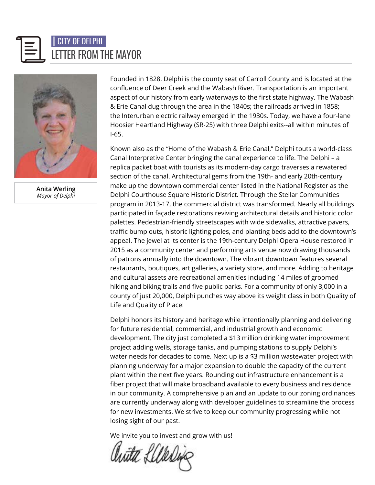



**Anita Werling** *Mayor of Delphi*

Founded in 1828, Delphi is the county seat of Carroll County and is located at the confluence of Deer Creek and the Wabash River. Transportation is an important aspect of our history from early waterways to the first state highway. The Wabash & Erie Canal dug through the area in the 1840s; the railroads arrived in 1858; the Interurban electric railway emerged in the 1930s. Today, we have a four-lane Hoosier Heartland Highway (SR-25) with three Delphi exits--all within minutes of I-65.

Known also as the "Home of the Wabash & Erie Canal," Delphi touts a world-class Canal Interpretive Center bringing the canal experience to life. The Delphi – a replica packet boat with tourists as its modern-day cargo traverses a rewatered section of the canal. Architectural gems from the 19th- and early 20th-century make up the downtown commercial center listed in the National Register as the Delphi Courthouse Square Historic District. Through the Stellar Communities program in 2013-17, the commercial district was transformed. Nearly all buildings participated in façade restorations reviving architectural details and historic color palettes. Pedestrian-friendly streetscapes with wide sidewalks, attractive pavers, traffic bump outs, historic lighting poles, and planting beds add to the downtown's appeal. The jewel at its center is the 19th-century Delphi Opera House restored in 2015 as a community center and performing arts venue now drawing thousands of patrons annually into the downtown. The vibrant downtown features several restaurants, boutiques, art galleries, a variety store, and more. Adding to heritage and cultural assets are recreational amenities including 14 miles of groomed hiking and biking trails and five public parks. For a community of only 3,000 in a county of just 20,000, Delphi punches way above its weight class in both Quality of Life and Quality of Place!

Delphi honors its history and heritage while intentionally planning and delivering for future residential, commercial, and industrial growth and economic development. The city just completed a \$13 million drinking water improvement project adding wells, storage tanks, and pumping stations to supply Delphi's water needs for decades to come. Next up is a \$3 million wastewater project with planning underway for a major expansion to double the capacity of the current plant within the next five years. Rounding out infrastructure enhancement is a fiber project that will make broadband available to every business and residence in our community. A comprehensive plan and an update to our zoning ordinances are currently underway along with developer guidelines to streamline the process for new investments. We strive to keep our community progressing while not losing sight of our past.

We invite you to invest and grow with us!

huta Lilledin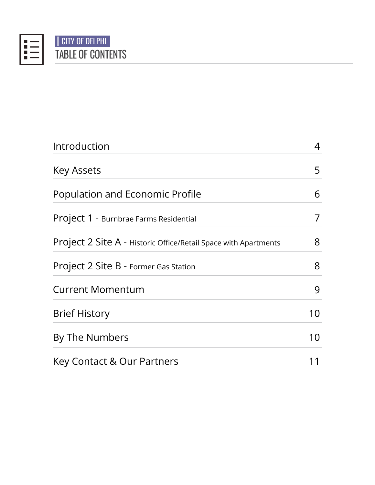

# TABLE OF CONTENTS CITY OF DELPHI

| Introduction                                                    | 4  |
|-----------------------------------------------------------------|----|
| <b>Key Assets</b>                                               | 5  |
| Population and Economic Profile                                 | 6  |
| Project 1 - Burnbrae Farms Residential                          | 7  |
| Project 2 Site A - Historic Office/Retail Space with Apartments | 8  |
| Project 2 Site B - Former Gas Station                           | 8  |
| <b>Current Momentum</b>                                         | 9  |
| <b>Brief History</b>                                            | 10 |
| By The Numbers                                                  | 10 |
| Key Contact & Our Partners                                      | 11 |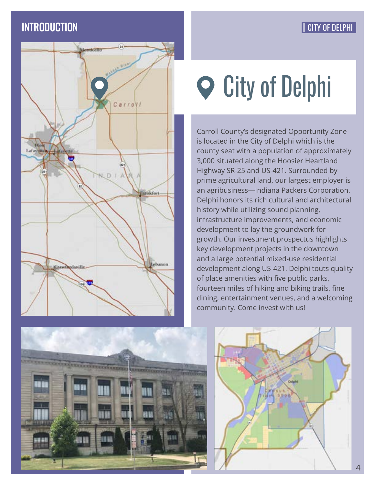# **INTRODUCTION**

## CITY OF DELPHI



# **P** City of Delphi

Carroll County's designated Opportunity Zone is located in the City of Delphi which is the county seat with a population of approximately 3,000 situated along the Hoosier Heartland Highway SR-25 and US-421. Surrounded by prime agricultural land, our largest employer is an agribusiness—Indiana Packers Corporation. Delphi honors its rich cultural and architectural history while utilizing sound planning, infrastructure improvements, and economic development to lay the groundwork for growth. Our investment prospectus highlights key development projects in the downtown and a large potential mixed-use residential development along US-421. Delphi touts quality of place amenities with five public parks, fourteen miles of hiking and biking trails, fine dining, entertainment venues, and a welcoming community. Come invest with us!



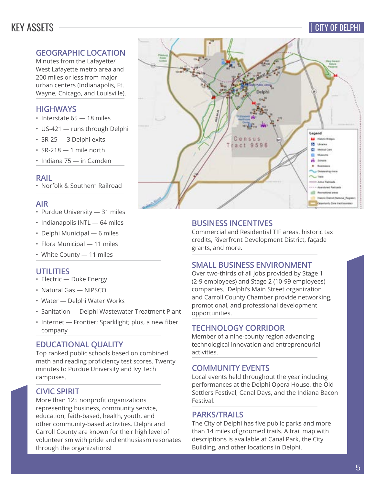# KEY ASSETS

#### CITY OF DELPHI

#### **GEOGRAPHIC LOCATION**

Minutes from the Lafayette/ West Lafayette metro area and 200 miles or less from major urban centers (Indianapolis, Ft. Wayne, Chicago, and Louisville).

#### **HIGHWAYS**

- Interstate 65 18 miles
- US-421 runs through Delphi
- SR-25 3 Delphi exits
- $\cdot$  SR-218  $-$  1 mile north

• Indiana 75 — in Camden

#### **RAIL**

• Norfolk & Southern Railroad

#### **AIR**

- Purdue University 31 miles
- Indianapolis INTL 64 miles
- Delphi Municipal 6 miles
- Flora Municipal 11 miles
- White County 11 miles

#### **UTILITIES**

- Electric Duke Energy
- Natural Gas NIPSCO
- Water Delphi Water Works
- Sanitation Delphi Wastewater Treatment Plant
- Internet Frontier; Sparklight; plus, a new fiber company

#### **EDUCATIONAL QUALITY**

Top ranked public schools based on combined math and reading proficiency test scores. Twenty minutes to Purdue University and Ivy Tech campuses.

#### **CIVIC SPIRIT**

More than 125 nonprofit organizations representing business, community service, education, faith-based, health, youth, and other community-based activities. Delphi and Carroll County are known for their high level of volunteerism with pride and enthusiasm resonates through the organizations!



#### **BUSINESS INCENTIVES**

Commercial and Residential TIF areas, historic tax credits, Riverfront Development District, façade grants, and more.

#### **SMALL BUSINESS ENVIRONMENT**

Over two-thirds of all jobs provided by Stage 1 (2-9 employees) and Stage 2 (10-99 employees) companies. Delphi's Main Street organization and Carroll County Chamber provide networking, promotional, and professional development opportunities.

#### **TECHNOLOGY CORRIDOR**

Member of a nine-county region advancing technological innovation and entrepreneurial activities.

#### **COMMUNITY EVENTS**

Local events held throughout the year including performances at the Delphi Opera House, the Old Settlers Festival, Canal Days, and the Indiana Bacon Festival.

#### **PARKS/TRAILS**

The City of Delphi has five public parks and more than 14 miles of groomed trails. A trail map with descriptions is available at Canal Park, the City Building, and other locations in Delphi.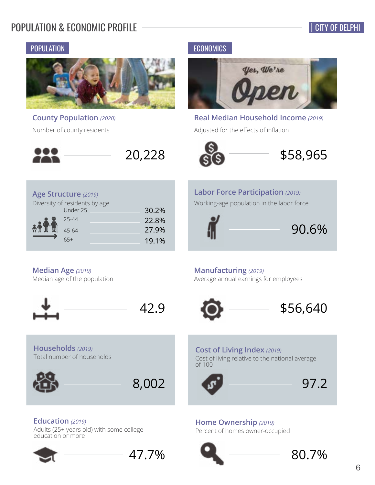# POPULATION & ECONOMIC PROFILE

#### POPULATION **ECONOMICS**



Under 25 30.2% 25-44 22.8% 45-64 27.9%  $65+$  19.1%

**County Population** *(2020)* Number of county residents



**Real Median Household Income** *(2019)*

\$58,965

Adjusted for the effects of inflation





## **Labor Force Participation** *(2019)*

Working-age population in the labor force



#### **Median Age** *(2019)*

**Households** *(2019)*

Total number of households

**Age Structure** *(2019)*

Diversity of residents by age

Median age of the population





8,002

47.7%

#### **Manufacturing** *(2019)*

Average annual earnings for employees



#### **Cost of Living Index** *(2019)*

Cost of living relative to the national average of 100



#### **Home Ownership** *(2019)* Percent of homes owner-occupied





Adults (25+ years old) with some college education or more

**Education** *(2019)*



6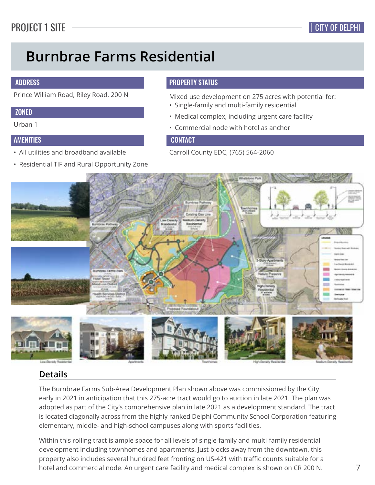# **Burnbrae Farms Residential**

#### ADDRESS

#### **ZONED**

Urban 1

#### AMENITIES

- All utilities and broadband available
- Residential TIF and Rural Opportunity Zone

#### PROPERTY STATUS

Prince William Road, Riley Road, 200 N Mixed use development on 275 acres with potential for:

- Single-family and multi-family residential
- Medical complex, including urgent care facility
- Commercial node with hotel as anchor

#### **CONTACT**

Carroll County EDC, (765) 564-2060



#### **Details**

The Burnbrae Farms Sub-Area Development Plan shown above was commissioned by the City early in 2021 in anticipation that this 275-acre tract would go to auction in late 2021. The plan was adopted as part of the City's comprehensive plan in late 2021 as a development standard. The tract is located diagonally across from the highly ranked Delphi Community School Corporation featuring elementary, middle- and high-school campuses along with sports facilities.

Within this rolling tract is ample space for all levels of single-family and multi-family residential development including townhomes and apartments. Just blocks away from the downtown, this property also includes several hundred feet fronting on US-421 with traffic counts suitable for a hotel and commercial node. An urgent care facility and medical complex is shown on CR 200 N.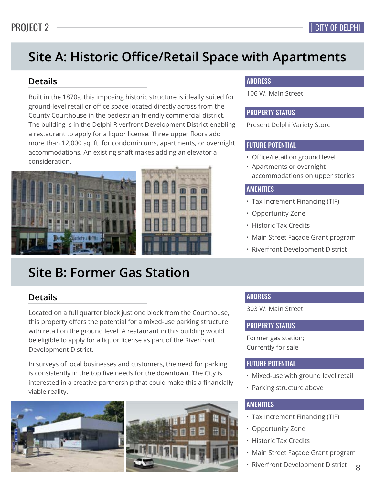# **Site A: Historic Office/Retail Space with Apartments**

#### **Details**

Built in the 1870s, this imposing historic structure is ideally suited for ground-level retail or office space located directly across from the County Courthouse in the pedestrian-friendly commercial district. The building is in the Delphi Riverfront Development District enabling a restaurant to apply for a liquor license. Three upper floors add more than 12,000 sq. ft. for condominiums, apartments, or overnight accommodations. An existing shaft makes adding an elevator a consideration.



# **Site B: Former Gas Station**

#### **Details**

Located on a full quarter block just one block from the Courthouse, this property offers the potential for a mixed-use parking structure with retail on the ground level. A restaurant in this building would be eligible to apply for a liquor license as part of the Riverfront Development District.

In surveys of local businesses and customers, the need for parking is consistently in the top five needs for the downtown. The City is interested in a creative partnership that could make this a financially viable reality.



#### ADDRESS

106 W. Main Street

#### PROPERTY STATUS

Present Delphi Variety Store

#### FUTURE POTENTIAL

- Office/retail on ground level
- Apartments or overnight accommodations on upper stories

#### AMENITIES

- Tax Increment Financing (TIF)
- Opportunity Zone
- Historic Tax Credits
- Main Street Façade Grant program
- Riverfront Development District

#### ADDRESS

303 W. Main Street

#### PROPERTY STATUS

Former gas station; Currently for sale

#### FUTURE POTENTIAL

- Mixed-use with ground level retail
- Parking structure above

#### AMENITIES

- Tax Increment Financing (TIF)
- Opportunity Zone
- Historic Tax Credits
- Main Street Façade Grant program
- 8 • Riverfront Development District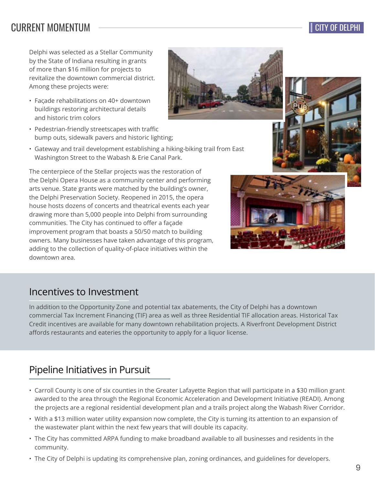# CURRENT MOMENTUM

Delphi was selected as a Stellar Community by the State of Indiana resulting in grants of more than \$16 million for projects to revitalize the downtown commercial district. Among these projects were:

- Faςade rehabilitations on 40+ downtown buildings restoring architectural details and historic trim colors
- Pedestrian-friendly streetscapes with traffic bump outs, sidewalk pavers and historic lighting;
- Gateway and trail development establishing a hiking-biking trail from East Washington Street to the Wabash & Erie Canal Park.

The centerpiece of the Stellar projects was the restoration of the Delphi Opera House as a community center and performing arts venue. State grants were matched by the building's owner, the Delphi Preservation Society. Reopened in 2015, the opera house hosts dozens of concerts and theatrical events each year drawing more than 5,000 people into Delphi from surrounding communities. The City has continued to offer a façade improvement program that boasts a 50/50 match to building owners. Many businesses have taken advantage of this program, adding to the collection of quality-of-place initiatives within the downtown area.

# Incentives to Investment

In addition to the Opportunity Zone and potential tax abatements, the City of Delphi has a downtown commercial Tax Increment Financing (TIF) area as well as three Residential TIF allocation areas. Historical Tax Credit incentives are available for many downtown rehabilitation projects. A Riverfront Development District affords restaurants and eateries the opportunity to apply for a liquor license.

# Pipeline Initiatives in Pursuit

- Carroll County is one of six counties in the Greater Lafayette Region that will participate in a \$30 million grant awarded to the area through the Regional Economic Acceleration and Development Initiative (READI). Among the projects are a regional residential development plan and a trails project along the Wabash River Corridor.
- With a \$13 million water utility expansion now complete, the City is turning its attention to an expansion of the wastewater plant within the next few years that will double its capacity.
- The City has committed ARPA funding to make broadband available to all businesses and residents in the community.
- The City of Delphi is updating its comprehensive plan, zoning ordinances, and guidelines for developers.







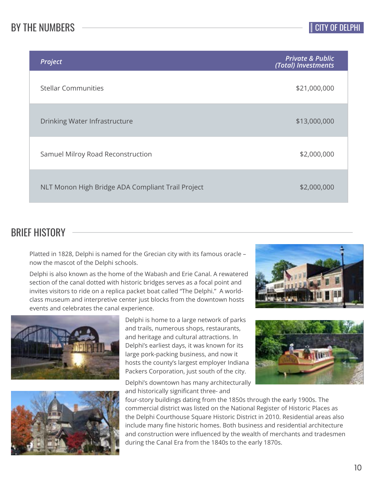# BY THE NUMBERS

| Project                                           | <b>Private &amp; Public</b><br>(Total) Investments |
|---------------------------------------------------|----------------------------------------------------|
| <b>Stellar Communities</b>                        | \$21,000,000                                       |
| Drinking Water Infrastructure                     | \$13,000,000                                       |
| Samuel Milroy Road Reconstruction                 | \$2,000,000                                        |
| NLT Monon High Bridge ADA Compliant Trail Project | \$2,000,000                                        |

# BRIEF HISTORY

Platted in 1828, Delphi is named for the Grecian city with its famous oracle – now the mascot of the Delphi schools.

Delphi is also known as the home of the Wabash and Erie Canal. A rewatered section of the canal dotted with historic bridges serves as a focal point and invites visitors to ride on a replica packet boat called "The Delphi." A worldclass museum and interpretive center just blocks from the downtown hosts events and celebrates the canal experience.





Delphi is home to a large network of parks and trails, numerous shops, restaurants, and heritage and cultural attractions. In Delphi's earliest days, it was known for its large pork-packing business, and now it hosts the county's largest employer Indiana Packers Corporation, just south of the city.

Delphi's downtown has many architecturally and historically significant three- and





four-story buildings dating from the 1850s through the early 1900s. The commercial district was listed on the National Register of Historic Places as the Delphi Courthouse Square Historic District in 2010. Residential areas also include many fine historic homes. Both business and residential architecture and construction were influenced by the wealth of merchants and tradesmen during the Canal Era from the 1840s to the early 1870s.